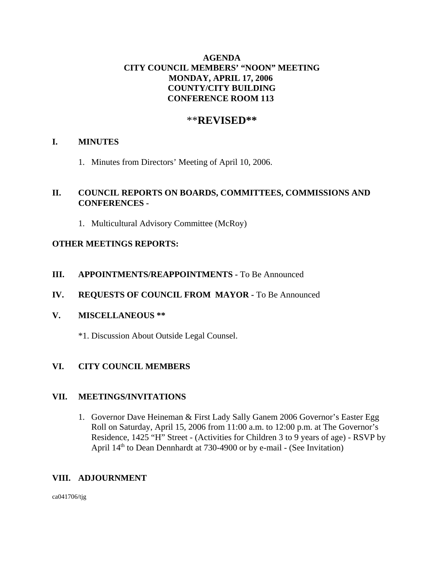# **AGENDA CITY COUNCIL MEMBERS' "NOON" MEETING MONDAY, APRIL 17, 2006 COUNTY/CITY BUILDING CONFERENCE ROOM 113**

# \*\***REVISED\*\***

## **I. MINUTES**

1. Minutes from Directors' Meeting of April 10, 2006.

## **II. COUNCIL REPORTS ON BOARDS, COMMITTEES, COMMISSIONS AND CONFERENCES -**

1. Multicultural Advisory Committee (McRoy)

## **OTHER MEETINGS REPORTS:**

## **III.** APPOINTMENTS/REAPPOINTMENTS - To Be Announced

# **IV. REQUESTS OF COUNCIL FROM MAYOR -** To Be Announced

### **V. MISCELLANEOUS \*\***

\*1. Discussion About Outside Legal Counsel.

# **VI. CITY COUNCIL MEMBERS**

### **VII. MEETINGS/INVITATIONS**

1. Governor Dave Heineman & First Lady Sally Ganem 2006 Governor's Easter Egg Roll on Saturday, April 15, 2006 from 11:00 a.m. to 12:00 p.m. at The Governor's Residence, 1425 "H" Street - (Activities for Children 3 to 9 years of age) - RSVP by April 14<sup>th</sup> to Dean Dennhardt at 730-4900 or by e-mail - (See Invitation)

# **VIII. ADJOURNMENT**

ca041706/tjg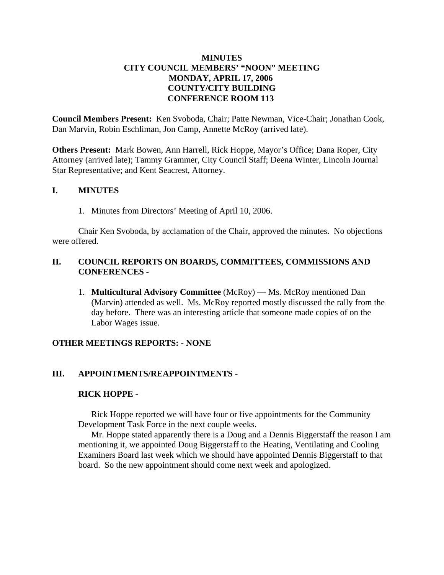# **MINUTES CITY COUNCIL MEMBERS' "NOON" MEETING MONDAY, APRIL 17, 2006 COUNTY/CITY BUILDING CONFERENCE ROOM 113**

**Council Members Present:** Ken Svoboda, Chair; Patte Newman, Vice-Chair; Jonathan Cook, Dan Marvin, Robin Eschliman, Jon Camp, Annette McRoy (arrived late).

**Others Present:** Mark Bowen, Ann Harrell, Rick Hoppe, Mayor's Office; Dana Roper, City Attorney (arrived late); Tammy Grammer, City Council Staff; Deena Winter, Lincoln Journal Star Representative; and Kent Seacrest, Attorney.

## **I. MINUTES**

1. Minutes from Directors' Meeting of April 10, 2006.

Chair Ken Svoboda, by acclamation of the Chair, approved the minutes. No objections were offered.

# **II. COUNCIL REPORTS ON BOARDS, COMMITTEES, COMMISSIONS AND CONFERENCES -**

1. **Multicultural Advisory Committee** (McRoy) — Ms. McRoy mentioned Dan (Marvin) attended as well. Ms. McRoy reported mostly discussed the rally from the day before. There was an interesting article that someone made copies of on the Labor Wages issue.

### **OTHER MEETINGS REPORTS: - NONE**

# **III. APPOINTMENTS/REAPPOINTMENTS** -

### **RICK HOPPE -**

Rick Hoppe reported we will have four or five appointments for the Community Development Task Force in the next couple weeks.

Mr. Hoppe stated apparently there is a Doug and a Dennis Biggerstaff the reason I am mentioning it, we appointed Doug Biggerstaff to the Heating, Ventilating and Cooling Examiners Board last week which we should have appointed Dennis Biggerstaff to that board. So the new appointment should come next week and apologized.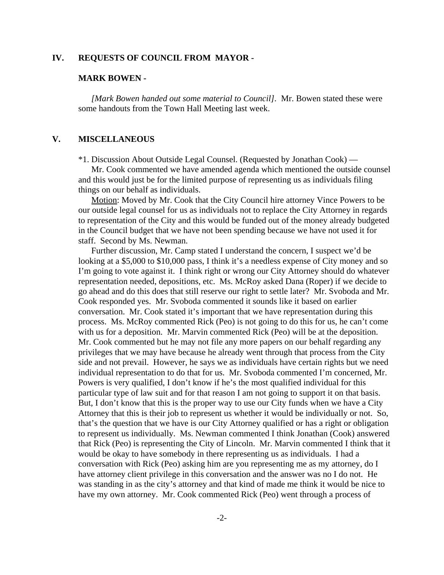### **IV. REQUESTS OF COUNCIL FROM MAYOR -**

#### **MARK BOWEN -**

*[Mark Bowen handed out some material to Council].* Mr. Bowen stated these were some handouts from the Town Hall Meeting last week.

### **V. MISCELLANEOUS**

\*1. Discussion About Outside Legal Counsel. (Requested by Jonathan Cook) —

Mr. Cook commented we have amended agenda which mentioned the outside counsel and this would just be for the limited purpose of representing us as individuals filing things on our behalf as individuals.

Motion: Moved by Mr. Cook that the City Council hire attorney Vince Powers to be our outside legal counsel for us as individuals not to replace the City Attorney in regards to representation of the City and this would be funded out of the money already budgeted in the Council budget that we have not been spending because we have not used it for staff. Second by Ms. Newman.

Further discussion, Mr. Camp stated I understand the concern, I suspect we'd be looking at a \$5,000 to \$10,000 pass, I think it's a needless expense of City money and so I'm going to vote against it. I think right or wrong our City Attorney should do whatever representation needed, depositions, etc. Ms. McRoy asked Dana (Roper) if we decide to go ahead and do this does that still reserve our right to settle later? Mr. Svoboda and Mr. Cook responded yes. Mr. Svoboda commented it sounds like it based on earlier conversation. Mr. Cook stated it's important that we have representation during this process. Ms. McRoy commented Rick (Peo) is not going to do this for us, he can't come with us for a deposition. Mr. Marvin commented Rick (Peo) will be at the deposition. Mr. Cook commented but he may not file any more papers on our behalf regarding any privileges that we may have because he already went through that process from the City side and not prevail. However, he says we as individuals have certain rights but we need individual representation to do that for us. Mr. Svoboda commented I'm concerned, Mr. Powers is very qualified, I don't know if he's the most qualified individual for this particular type of law suit and for that reason I am not going to support it on that basis. But, I don't know that this is the proper way to use our City funds when we have a City Attorney that this is their job to represent us whether it would be individually or not. So, that's the question that we have is our City Attorney qualified or has a right or obligation to represent us individually. Ms. Newman commented I think Jonathan (Cook) answered that Rick (Peo) is representing the City of Lincoln. Mr. Marvin commented I think that it would be okay to have somebody in there representing us as individuals. I had a conversation with Rick (Peo) asking him are you representing me as my attorney, do I have attorney client privilege in this conversation and the answer was no I do not. He was standing in as the city's attorney and that kind of made me think it would be nice to have my own attorney. Mr. Cook commented Rick (Peo) went through a process of